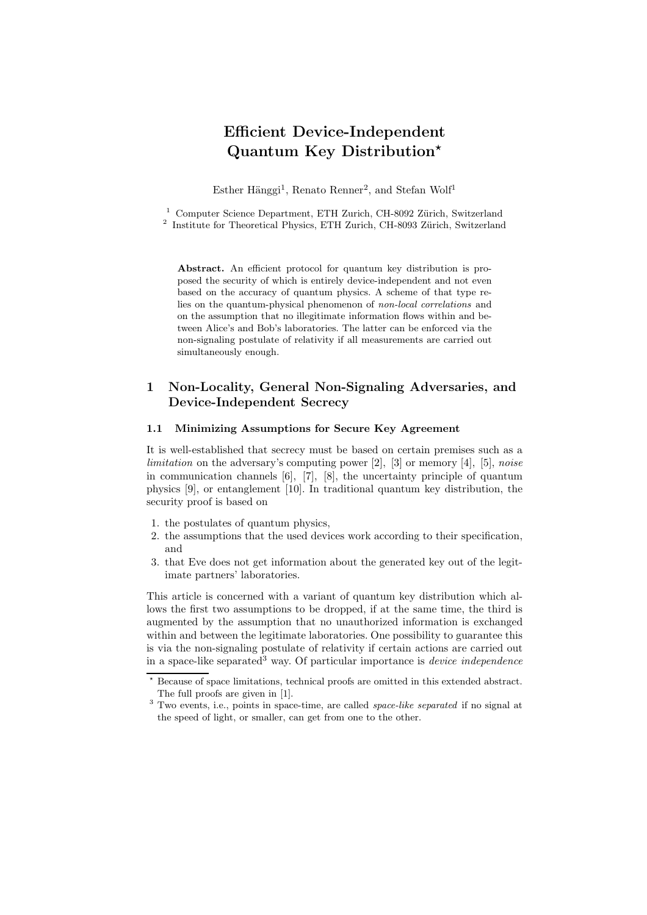# Efficient Device-Independent Quantum Key Distribution $\star$

Esther Hänggi<sup>1</sup>, Renato Renner<sup>2</sup>, and Stefan Wolf<sup>1</sup>

 $1$  Computer Science Department, ETH Zurich, CH-8092 Zürich, Switzerland <sup>2</sup> Institute for Theoretical Physics, ETH Zurich, CH-8093 Zürich, Switzerland

Abstract. An efficient protocol for quantum key distribution is proposed the security of which is entirely device-independent and not even based on the accuracy of quantum physics. A scheme of that type relies on the quantum-physical phenomenon of non-local correlations and on the assumption that no illegitimate information flows within and between Alice's and Bob's laboratories. The latter can be enforced via the non-signaling postulate of relativity if all measurements are carried out simultaneously enough.

# 1 Non-Locality, General Non-Signaling Adversaries, and Device-Independent Secrecy

### 1.1 Minimizing Assumptions for Secure Key Agreement

It is well-established that secrecy must be based on certain premises such as a *limitation* on the adversary's computing power [2], [3] or memory [4], [5], *noise* in communication channels [6], [7], [8], the uncertainty principle of quantum physics [9], or entanglement [10]. In traditional quantum key distribution, the security proof is based on

- 1. the postulates of quantum physics,
- 2. the assumptions that the used devices work according to their specification, and
- 3. that Eve does not get information about the generated key out of the legitimate partners' laboratories.

This article is concerned with a variant of quantum key distribution which allows the first two assumptions to be dropped, if at the same time, the third is augmented by the assumption that no unauthorized information is exchanged within and between the legitimate laboratories. One possibility to guarantee this is via the non-signaling postulate of relativity if certain actions are carried out in a space-like separated<sup>3</sup> way. Of particular importance is *device independence*

<sup>⋆</sup> Because of space limitations, technical proofs are omitted in this extended abstract. The full proofs are given in [1].

<sup>3</sup> Two events, i.e., points in space-time, are called space-like separated if no signal at the speed of light, or smaller, can get from one to the other.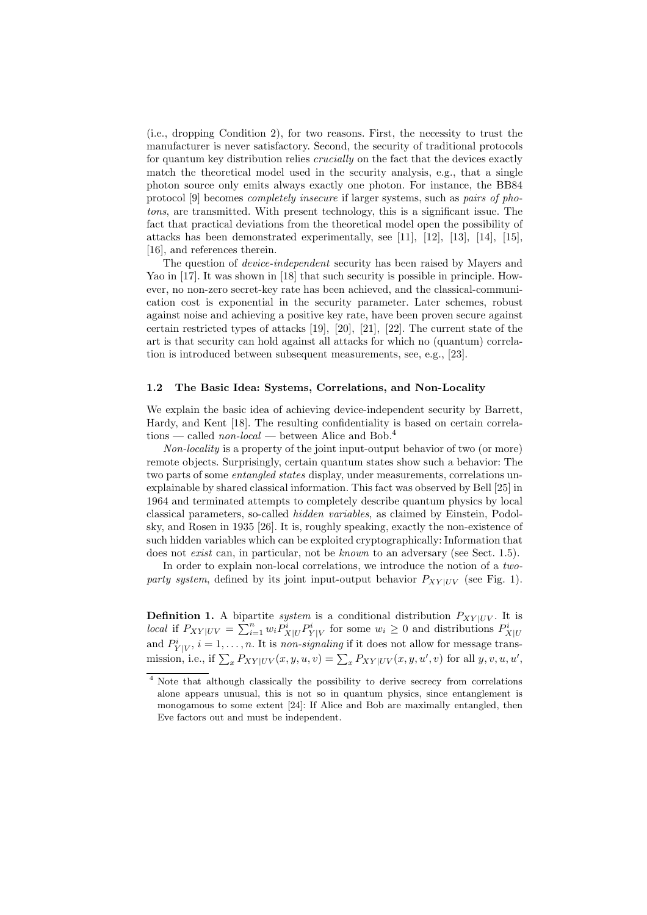(i.e., dropping Condition 2), for two reasons. First, the necessity to trust the manufacturer is never satisfactory. Second, the security of traditional protocols for quantum key distribution relies *crucially* on the fact that the devices exactly match the theoretical model used in the security analysis, e.g., that a single photon source only emits always exactly one photon. For instance, the BB84 protocol [9] becomes *completely insecure* if larger systems, such as *pairs of photons*, are transmitted. With present technology, this is a significant issue. The fact that practical deviations from the theoretical model open the possibility of attacks has been demonstrated experimentally, see [11], [12], [13], [14], [15], [16], and references therein.

The question of *device-independent* security has been raised by Mayers and Yao in [17]. It was shown in [18] that such security is possible in principle. However, no non-zero secret-key rate has been achieved, and the classical-communication cost is exponential in the security parameter. Later schemes, robust against noise and achieving a positive key rate, have been proven secure against certain restricted types of attacks [19], [20], [21], [22]. The current state of the art is that security can hold against all attacks for which no (quantum) correlation is introduced between subsequent measurements, see, e.g., [23].

### 1.2 The Basic Idea: Systems, Correlations, and Non-Locality

We explain the basic idea of achieving device-independent security by Barrett, Hardy, and Kent [18]. The resulting confidentiality is based on certain correlations — called *non-local* — between Alice and Bob.<sup>4</sup>

*Non-locality* is a property of the joint input-output behavior of two (or more) remote objects. Surprisingly, certain quantum states show such a behavior: The two parts of some *entangled states* display, under measurements, correlations unexplainable by shared classical information. This fact was observed by Bell [25] in 1964 and terminated attempts to completely describe quantum physics by local classical parameters, so-called *hidden variables*, as claimed by Einstein, Podolsky, and Rosen in 1935 [26]. It is, roughly speaking, exactly the non-existence of such hidden variables which can be exploited cryptographically: Information that does not *exist* can, in particular, not be *known* to an adversary (see Sect. 1.5).

In order to explain non-local correlations, we introduce the notion of a *twoparty system*, defined by its joint input-output behavior  $P_{XY|UV}$  (see Fig. 1).

**Definition 1.** A bipartite *system* is a conditional distribution  $P_{XY|UV}$ . It is *local* if  $P_{XY|UV} = \sum_{i=1}^{n} w_i P_{X|U}^i P_{Y|V}^i$  for some  $w_i \geq 0$  and distributions  $P_{X|U}^i$ and  $P^i_{Y|V}, i = 1, \ldots, n$ . It is *non-signaling* if it does not allow for message transmission, i.e., if  $\sum_{x} P_{XY|UV}(x, y, u, v) = \sum_{x} P_{XY|UV}(x, y, u', v)$  for all  $y, v, u, u'$ ,

<sup>4</sup> Note that although classically the possibility to derive secrecy from correlations alone appears unusual, this is not so in quantum physics, since entanglement is monogamous to some extent [24]: If Alice and Bob are maximally entangled, then Eve factors out and must be independent.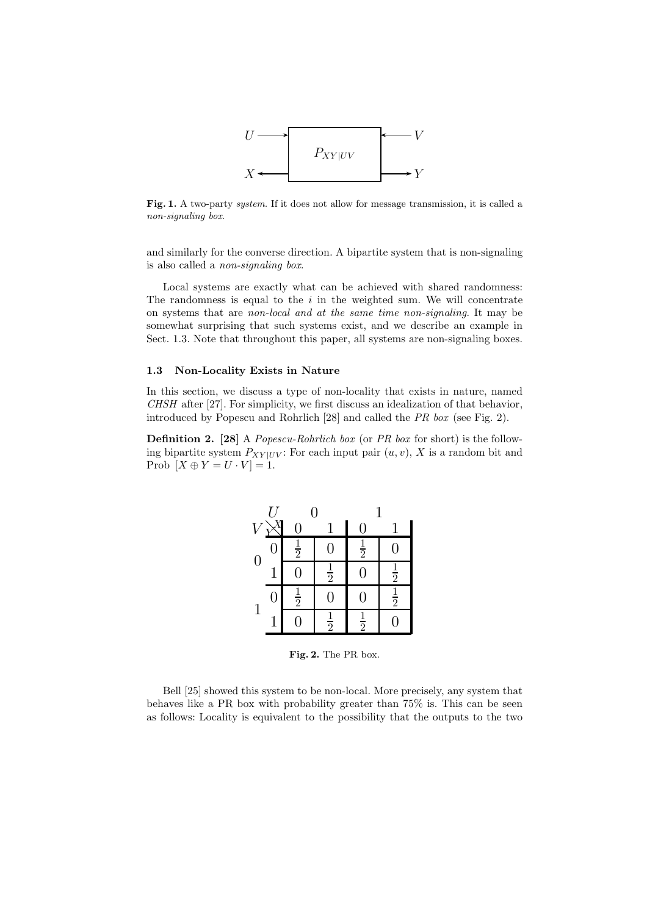

Fig. 1. A two-party system. If it does not allow for message transmission, it is called a non-signaling box.

and similarly for the converse direction. A bipartite system that is non-signaling is also called a *non-signaling box*.

Local systems are exactly what can be achieved with shared randomness: The randomness is equal to the  $i$  in the weighted sum. We will concentrate on systems that are *non-local and at the same time non-signaling*. It may be somewhat surprising that such systems exist, and we describe an example in Sect. 1.3. Note that throughout this paper, all systems are non-signaling boxes.

### 1.3 Non-Locality Exists in Nature

In this section, we discuss a type of non-locality that exists in nature, named *CHSH* after [27]. For simplicity, we first discuss an idealization of that behavior, introduced by Popescu and Rohrlich [28] and called the *PR box* (see Fig. 2).

Definition 2. [28] A *Popescu-Rohrlich box* (or *PR box* for short) is the following bipartite system  $P_{XY|UV}$ : For each input pair  $(u, v)$ , X is a random bit and Prob  $[X \oplus Y = U \cdot V] = 1.$ 

|                |                | 0              |               |                |               |
|----------------|----------------|----------------|---------------|----------------|---------------|
|                |                | $\overline{0}$ |               | $\overline{0}$ |               |
| $\overline{0}$ | $\overline{0}$ | $\frac{1}{2}$  |               | $\frac{1}{2}$  |               |
|                |                | 0              | $\frac{1}{2}$ | O              | $\frac{1}{2}$ |
|                | C              | $\frac{1}{2}$  |               | 0              | $\frac{1}{2}$ |
|                |                |                | $\frac{1}{2}$ | $\frac{1}{2}$  |               |

Fig. 2. The PR box.

Bell [25] showed this system to be non-local. More precisely, any system that behaves like a PR box with probability greater than 75% is. This can be seen as follows: Locality is equivalent to the possibility that the outputs to the two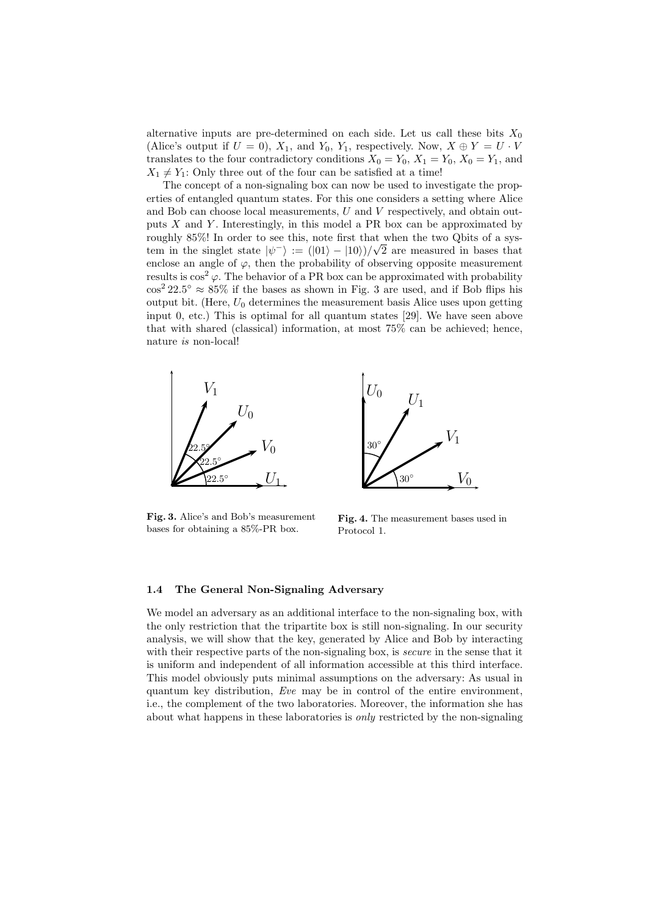alternative inputs are pre-determined on each side. Let us call these bits  $X_0$ (Alice's output if  $U = 0$ ),  $X_1$ , and  $Y_0$ ,  $Y_1$ , respectively. Now,  $X \oplus Y = U \cdot V$ translates to the four contradictory conditions  $X_0 = Y_0, X_1 = Y_0, X_0 = Y_1$ , and  $X_1 \neq Y_1$ : Only three out of the four can be satisfied at a time!

The concept of a non-signaling box can now be used to investigate the properties of entangled quantum states. For this one considers a setting where Alice and Bob can choose local measurements,  $U$  and  $V$  respectively, and obtain outputs  $X$  and  $Y$ . Interestingly, in this model a PR box can be approximated by roughly 85%! In order to see this, note first that when the two Qbits of a system in the singlet state  $|\psi^{-}\rangle := (|01\rangle - |10\rangle)/\sqrt{2}$  are measured in bases that enclose an angle of  $\varphi$ , then the probability of observing opposite measurement results is  $\cos^2 \varphi$ . The behavior of a PR box can be approximated with probability  $\cos^2 22.5^\circ \approx 85\%$  if the bases as shown in Fig. 3 are used, and if Bob flips his output bit. (Here,  $U_0$  determines the measurement basis Alice uses upon getting input 0, etc.) This is optimal for all quantum states [29]. We have seen above that with shared (classical) information, at most 75% can be achieved; hence, nature *is* non-local!



30◦ 30◦  $U_0$   $U_1$  $V_0$  $V_1$ 

Fig. 3. Alice's and Bob's measurement bases for obtaining a 85%-PR box.

Fig. 4. The measurement bases used in Protocol 1.

### 1.4 The General Non-Signaling Adversary

We model an adversary as an additional interface to the non-signaling box, with the only restriction that the tripartite box is still non-signaling. In our security analysis, we will show that the key, generated by Alice and Bob by interacting with their respective parts of the non-signaling box, is *secure* in the sense that it is uniform and independent of all information accessible at this third interface. This model obviously puts minimal assumptions on the adversary: As usual in quantum key distribution, *Eve* may be in control of the entire environment, i.e., the complement of the two laboratories. Moreover, the information she has about what happens in these laboratories is *only* restricted by the non-signaling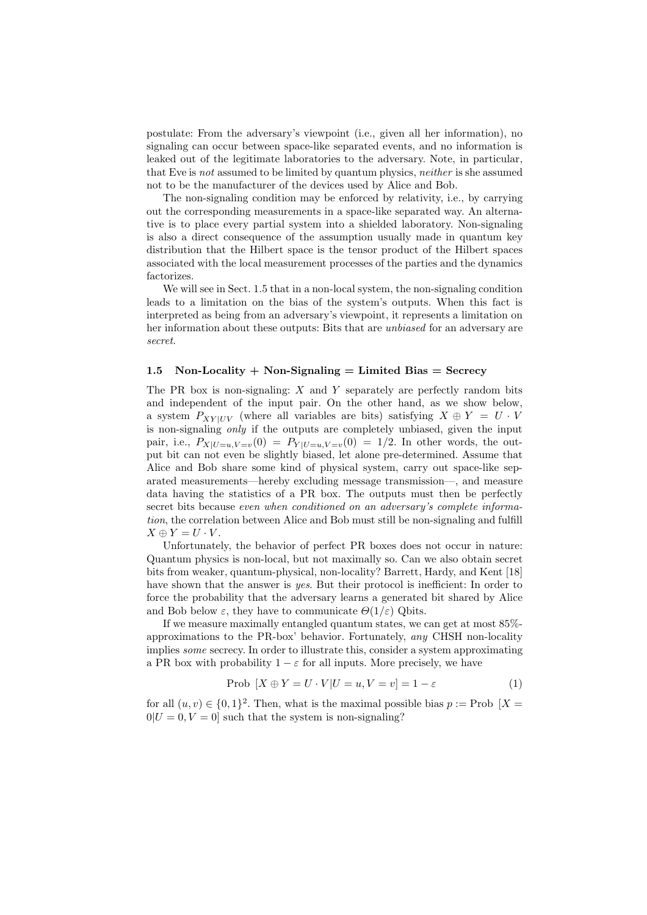postulate: From the adversary's viewpoint (i.e., given all her information), no signaling can occur between space-like separated events, and no information is leaked out of the legitimate laboratories to the adversary. Note, in particular, that Eve is *not* assumed to be limited by quantum physics, *neither* is she assumed not to be the manufacturer of the devices used by Alice and Bob.

The non-signaling condition may be enforced by relativity, i.e., by carrying out the corresponding measurements in a space-like separated way. An alternative is to place every partial system into a shielded laboratory. Non-signaling is also a direct consequence of the assumption usually made in quantum key distribution that the Hilbert space is the tensor product of the Hilbert spaces associated with the local measurement processes of the parties and the dynamics factorizes.

We will see in Sect. 1.5 that in a non-local system, the non-signaling condition leads to a limitation on the bias of the system's outputs. When this fact is interpreted as being from an adversary's viewpoint, it represents a limitation on her information about these outputs: Bits that are *unbiased* for an adversary are *secret*.

### 1.5 Non-Locality + Non-Signaling  $=$  Limited Bias  $=$  Secrecy

The PR box is non-signaling:  $X$  and  $Y$  separately are perfectly random bits and independent of the input pair. On the other hand, as we show below, a system  $P_{XY|UV}$  (where all variables are bits) satisfying  $X \oplus Y = U \cdot V$ is non-signaling *only* if the outputs are completely unbiased, given the input pair, i.e.,  $P_{X|U=u,V=v}(0) = P_{Y|U=u,V=v}(0) = 1/2$ . In other words, the output bit can not even be slightly biased, let alone pre-determined. Assume that Alice and Bob share some kind of physical system, carry out space-like separated measurements—hereby excluding message transmission—, and measure data having the statistics of a PR box. The outputs must then be perfectly secret bits because *even when conditioned on an adversary's complete information*, the correlation between Alice and Bob must still be non-signaling and fulfill  $X \oplus Y = U \cdot V$ .

Unfortunately, the behavior of perfect PR boxes does not occur in nature: Quantum physics is non-local, but not maximally so. Can we also obtain secret bits from weaker, quantum-physical, non-locality? Barrett, Hardy, and Kent [18] have shown that the answer is *yes*. But their protocol is inefficient: In order to force the probability that the adversary learns a generated bit shared by Alice and Bob below  $\varepsilon$ , they have to communicate  $\Theta(1/\varepsilon)$  Qbits.

If we measure maximally entangled quantum states, we can get at most 85% approximations to the PR-box' behavior. Fortunately, *any* CHSH non-locality implies *some* secrecy. In order to illustrate this, consider a system approximating a PR box with probability  $1 - \varepsilon$  for all inputs. More precisely, we have

$$
Prob[X \oplus Y = U \cdot V | U = u, V = v] = 1 - \varepsilon
$$
\n(1)

for all  $(u, v) \in \{0, 1\}^2$ . Then, what is the maximal possible bias  $p := \text{Prob }[X =$  $0|U=0, V=0]$  such that the system is non-signaling?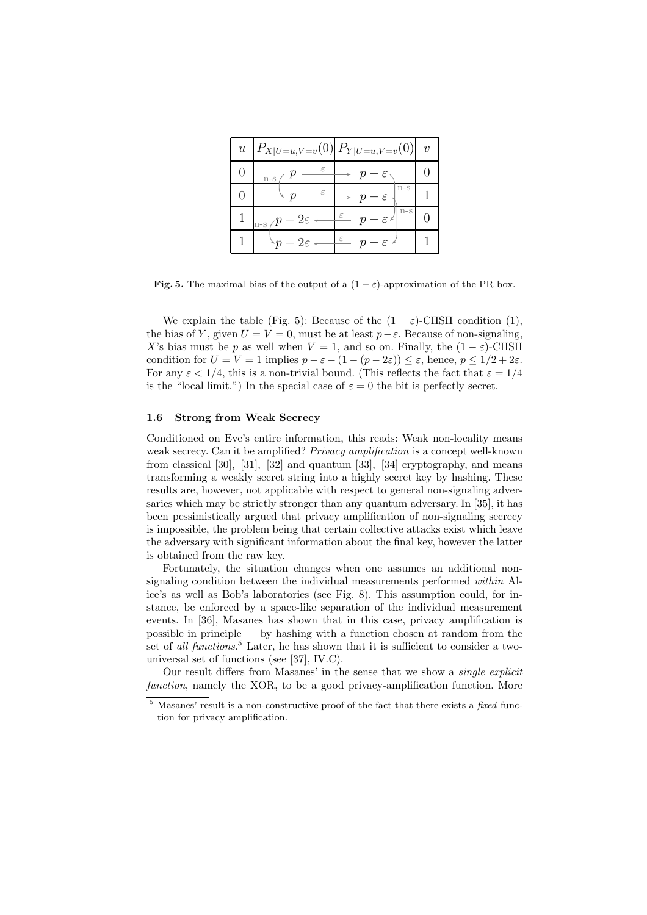| u | $ P_{X U=u,V=v}(0)  P_{Y U=u,V=v}(0) $ |                         | $\boldsymbol{v}$ |
|---|----------------------------------------|-------------------------|------------------|
|   | $n-s$                                  | ε                       |                  |
|   | ε                                      | $n-s$<br>$-\varepsilon$ |                  |
|   | $-2\varepsilon$<br>$n-s$               | $n-s$                   |                  |
|   | $n-2\varepsilon$                       |                         |                  |

**Fig. 5.** The maximal bias of the output of a  $(1 - \varepsilon)$ -approximation of the PR box.

We explain the table (Fig. 5): Because of the  $(1 - \varepsilon)$ -CHSH condition (1), the bias of Y, given  $U = V = 0$ , must be at least  $p - \varepsilon$ . Because of non-signaling, X's bias must be p as well when  $V = 1$ , and so on. Finally, the  $(1 - \varepsilon)$ -CHSH condition for  $U = V = 1$  implies  $p - \varepsilon - (1 - (p - 2\varepsilon)) \leq \varepsilon$ , hence,  $p \leq 1/2 + 2\varepsilon$ . For any  $\varepsilon < 1/4$ , this is a non-trivial bound. (This reflects the fact that  $\varepsilon = 1/4$ is the "local limit.") In the special case of  $\varepsilon = 0$  the bit is perfectly secret.

### 1.6 Strong from Weak Secrecy

Conditioned on Eve's entire information, this reads: Weak non-locality means weak secrecy. Can it be amplified? *Privacy amplification* is a concept well-known from classical [30], [31], [32] and quantum [33], [34] cryptography, and means transforming a weakly secret string into a highly secret key by hashing. These results are, however, not applicable with respect to general non-signaling adversaries which may be strictly stronger than any quantum adversary. In [35], it has been pessimistically argued that privacy amplification of non-signaling secrecy is impossible, the problem being that certain collective attacks exist which leave the adversary with significant information about the final key, however the latter is obtained from the raw key.

Fortunately, the situation changes when one assumes an additional nonsignaling condition between the individual measurements performed *within* Alice's as well as Bob's laboratories (see Fig. 8). This assumption could, for instance, be enforced by a space-like separation of the individual measurement events. In [36], Masanes has shown that in this case, privacy amplification is possible in principle — by hashing with a function chosen at random from the set of *all functions*. <sup>5</sup> Later, he has shown that it is sufficient to consider a twouniversal set of functions (see [37], IV.C).

Our result differs from Masanes' in the sense that we show a *single explicit function*, namely the XOR, to be a good privacy-amplification function. More

Masanes' result is a non-constructive proof of the fact that there exists a *fixed* function for privacy amplification.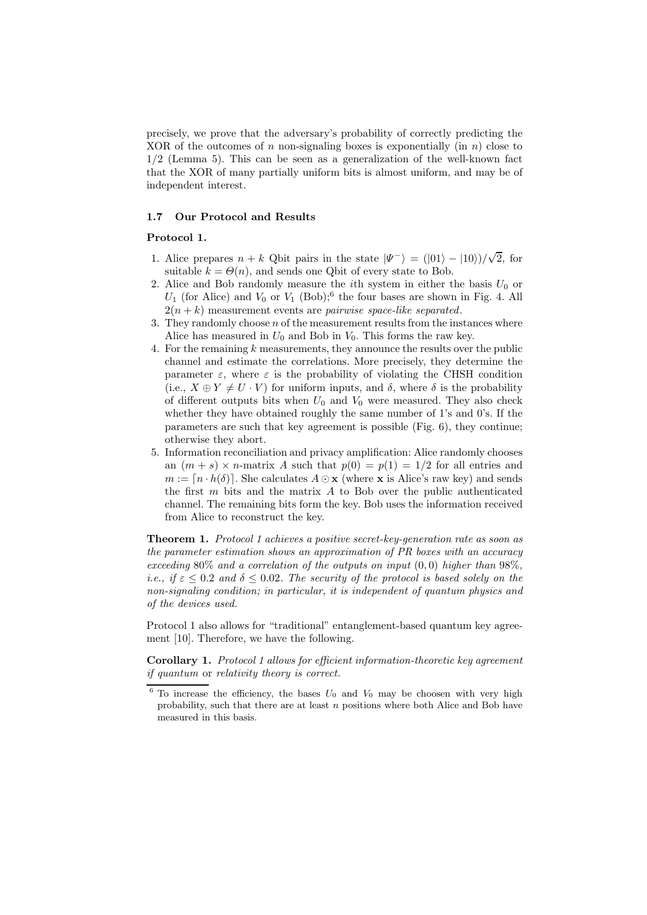precisely, we prove that the adversary's probability of correctly predicting the XOR of the outcomes of n non-signaling boxes is exponentially (in  $n$ ) close to 1/2 (Lemma 5). This can be seen as a generalization of the well-known fact that the XOR of many partially uniform bits is almost uniform, and may be of independent interest.

### 1.7 Our Protocol and Results

### Protocol 1.

- 1. Alice prepares  $n + k$  Qbit pairs in the state  $|\Psi^{-}\rangle = (|01\rangle |10\rangle)/\sqrt{2}$ , for suitable  $k = \Theta(n)$ , and sends one Obit of every state to Bob.
- 2. Alice and Bob randomly measure the *i*th system in either the basis  $U_0$  or  $U_1$  (for Alice) and  $V_0$  or  $V_1$  (Bob);<sup>6</sup> the four bases are shown in Fig. 4. All  $2(n + k)$  measurement events are *pairwise space-like separated*.
- 3. They randomly choose  $n$  of the measurement results from the instances where Alice has measured in  $U_0$  and Bob in  $V_0$ . This forms the raw key.
- 4. For the remaining  $k$  measurements, they announce the results over the public channel and estimate the correlations. More precisely, they determine the parameter  $\varepsilon$ , where  $\varepsilon$  is the probability of violating the CHSH condition (i.e.,  $X \oplus Y \neq U \cdot V$ ) for uniform inputs, and  $\delta$ , where  $\delta$  is the probability of different outputs bits when  $U_0$  and  $V_0$  were measured. They also check whether they have obtained roughly the same number of 1's and 0's. If the parameters are such that key agreement is possible (Fig. 6), they continue; otherwise they abort.
- 5. Information reconciliation and privacy amplification: Alice randomly chooses an  $(m + s) \times n$ -matrix A such that  $p(0) = p(1) = 1/2$  for all entries and  $m := [n \cdot h(\delta)]$ . She calculates  $A \odot \mathbf{x}$  (where **x** is Alice's raw key) and sends the first  $m$  bits and the matrix  $A$  to Bob over the public authenticated channel. The remaining bits form the key. Bob uses the information received from Alice to reconstruct the key.

Theorem 1. *Protocol 1 achieves a positive secret-key-generation rate as soon as the parameter estimation shows an approximation of PR boxes with an accuracy exceeding* 80% *and a correlation of the outputs on input* (0, 0) *higher than* 98%*, i.e., if*  $\varepsilon$  < 0.2 *and*  $\delta$  < 0.02*. The security of the protocol is based solely on the non-signaling condition; in particular, it is independent of quantum physics and of the devices used.*

Protocol 1 also allows for "traditional" entanglement-based quantum key agreement [10]. Therefore, we have the following.

Corollary 1. *Protocol 1 allows for efficient information-theoretic key agreement if quantum* or *relativity theory is correct.*

 $6$  To increase the efficiency, the bases  $U_0$  and  $V_0$  may be choosen with very high probability, such that there are at least  $n$  positions where both Alice and Bob have measured in this basis.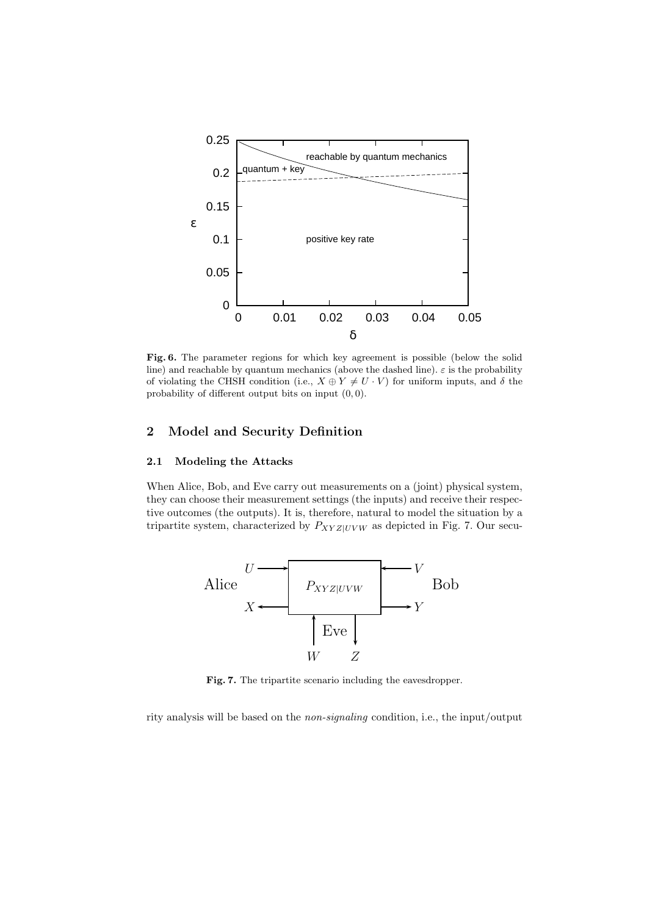

Fig. 6. The parameter regions for which key agreement is possible (below the solid line) and reachable by quantum mechanics (above the dashed line).  $\varepsilon$  is the probability of violating the CHSH condition (i.e.,  $X \oplus Y \neq U \cdot V$ ) for uniform inputs, and  $\delta$  the probability of different output bits on input  $(0, 0)$ .

# 2 Model and Security Definition

# 2.1 Modeling the Attacks

When Alice, Bob, and Eve carry out measurements on a (joint) physical system, they can choose their measurement settings (the inputs) and receive their respective outcomes (the outputs). It is, therefore, natural to model the situation by a tripartite system, characterized by  $P_{XYZ|UVW}$  as depicted in Fig. 7. Our secu-



Fig. 7. The tripartite scenario including the eavesdropper.

rity analysis will be based on the *non-signaling* condition, i.e., the input/output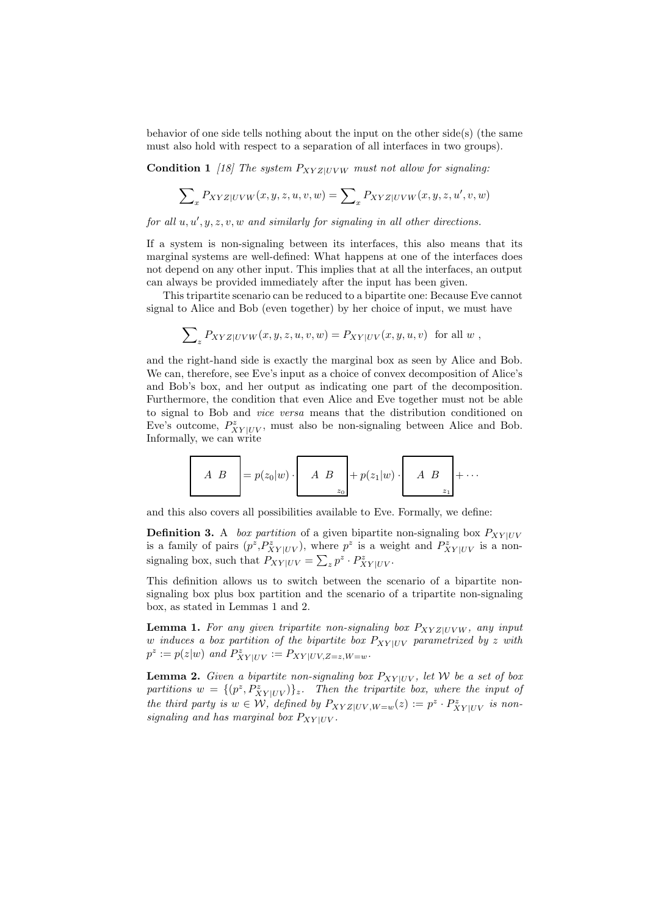behavior of one side tells nothing about the input on the other side(s) (the same must also hold with respect to a separation of all interfaces in two groups).

**Condition 1** [18] The system  $P_{XYZ|UVW}$  must not allow for signaling:

$$
\sum_{x} P_{XYZ|UVW}(x, y, z, u, v, w) = \sum_{x} P_{XYZ|UVW}(x, y, z, u', v, w)
$$

for all  $u, u', y, z, v, w$  and similarly for signaling in all other directions.

If a system is non-signaling between its interfaces, this also means that its marginal systems are well-defined: What happens at one of the interfaces does not depend on any other input. This implies that at all the interfaces, an output can always be provided immediately after the input has been given.

This tripartite scenario can be reduced to a bipartite one: Because Eve cannot signal to Alice and Bob (even together) by her choice of input, we must have

$$
\sum\nz P_{XYZ|UVW}(x, y, z, u, v, w) = P_{XY|UV}(x, y, u, v) \text{ for all } w,
$$

and the right-hand side is exactly the marginal box as seen by Alice and Bob. We can, therefore, see Eve's input as a choice of convex decomposition of Alice's and Bob's box, and her output as indicating one part of the decomposition. Furthermore, the condition that even Alice and Eve together must not be able to signal to Bob and *vice versa* means that the distribution conditioned on Eve's outcome,  $P_{XY|UV}^z$ , must also be non-signaling between Alice and Bob. Informally, we can write

$$
A \ B \qquad = p(z_0|w) \cdot \left[ \quad A \ B \quad \bigg| + p(z_1|w) \cdot \left[ \quad A \ B \quad \bigg| + \cdots \right]
$$

and this also covers all possibilities available to Eve. Formally, we define:

**Definition 3.** A *box partition* of a given bipartite non-signaling box  $P_{XY|UV}$ is a family of pairs  $(p^z, P^z_{XY|UV})$ , where  $p^z$  is a weight and  $P^z_{XY|UV}$  is a nonsignaling box, such that  $P_{XY|UV} = \sum_z p^z \cdot P_{XY|UV}^z$ .

This definition allows us to switch between the scenario of a bipartite nonsignaling box plus box partition and the scenario of a tripartite non-signaling box, as stated in Lemmas 1 and 2.

**Lemma 1.** For any given tripartite non-signaling box  $P_{XYZ|UVW}$ , any input w *induces a box partition of the bipartite box*  $P_{XY|UV}$  *parametrized by* z with  $p^z := p(z|w)$  and  $P_{XY|UV}^z := P_{XY|UV,Z=z,W=w}$ .

**Lemma 2.** *Given a bipartite non-signaling box*  $P_{XY|UV}$ *, let* W *be a set of box* partitions  $w = \{(p^z, P^z_{XY|UV})\}_z$ . Then the tripartite box, where the input of *the third party is*  $w \in W$ , defined by  $P_{XYZ|UV,W=w}(z) := p^z \cdot P_{XY|UV}^z$  is nonsignaling and has marginal box  $P_{XY|UV}$ .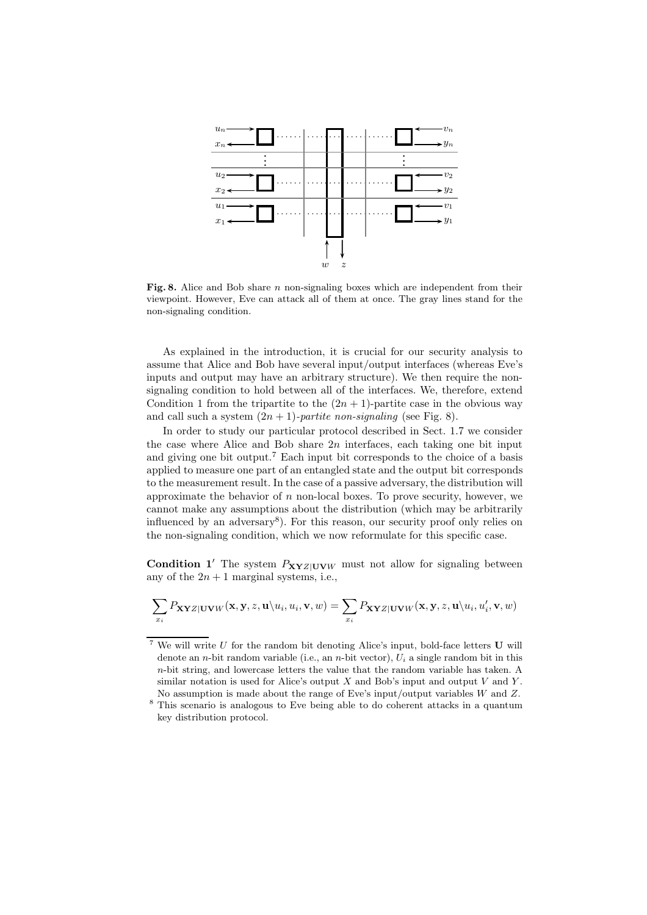

Fig. 8. Alice and Bob share n non-signaling boxes which are independent from their viewpoint. However, Eve can attack all of them at once. The gray lines stand for the non-signaling condition.

As explained in the introduction, it is crucial for our security analysis to assume that Alice and Bob have several input/output interfaces (whereas Eve's inputs and output may have an arbitrary structure). We then require the nonsignaling condition to hold between all of the interfaces. We, therefore, extend Condition 1 from the tripartite to the  $(2n + 1)$ -partite case in the obvious way and call such a system  $(2n + 1)$ *-partite non-signaling* (see Fig. 8).

In order to study our particular protocol described in Sect. 1.7 we consider the case where Alice and Bob share  $2n$  interfaces, each taking one bit input and giving one bit output.<sup>7</sup> Each input bit corresponds to the choice of a basis applied to measure one part of an entangled state and the output bit corresponds to the measurement result. In the case of a passive adversary, the distribution will approximate the behavior of  $n$  non-local boxes. To prove security, however, we cannot make any assumptions about the distribution (which may be arbitrarily influenced by an adversary<sup>8</sup>). For this reason, our security proof only relies on the non-signaling condition, which we now reformulate for this specific case.

**Condition 1'** The system  $P_{\text{XYZ}|\text{UVW}}$  must not allow for signaling between any of the  $2n + 1$  marginal systems, i.e.,

$$
\sum_{x_i} P_{\mathbf{XYZ}|\mathbf{U}\mathbf{V}W}(\mathbf{x},\mathbf{y},z,\mathbf{u}\backslash u_i,u_i,\mathbf{v},w) = \sum_{x_i} P_{\mathbf{XYZ}|\mathbf{U}\mathbf{V}W}(\mathbf{x},\mathbf{y},z,\mathbf{u}\backslash u_i,u'_i,\mathbf{v},w)
$$

We will write  $U$  for the random bit denoting Alice's input, bold-face letters  $U$  will denote an *n*-bit random variable (i.e., an *n*-bit vector),  $U_i$  a single random bit in this n-bit string, and lowercase letters the value that the random variable has taken. A similar notation is used for Alice's output  $X$  and Bob's input and output  $V$  and  $Y$ . No assumption is made about the range of Eve's input/output variables W and Z.

<sup>8</sup> This scenario is analogous to Eve being able to do coherent attacks in a quantum key distribution protocol.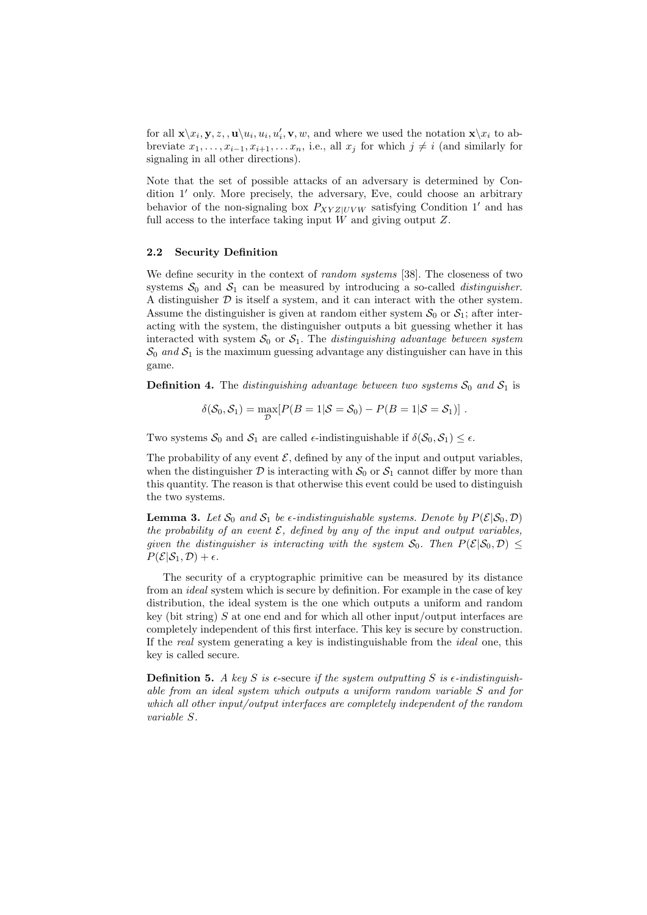for all  $\mathbf{x}\backslash x_i, \mathbf{y}, z_j, \mathbf{u}\backslash u_i, u_i, u'_i, \mathbf{v}, w$ , and where we used the notation  $\mathbf{x}\backslash x_i$  to abbreviate  $x_1, \ldots, x_{i-1}, x_{i+1}, \ldots, x_n$ , i.e., all  $x_j$  for which  $j \neq i$  (and similarly for signaling in all other directions).

Note that the set of possible attacks of an adversary is determined by Condition 1′ only. More precisely, the adversary, Eve, could choose an arbitrary behavior of the non-signaling box  $P_{XYZ|UVW}$  satisfying Condition 1' and has full access to the interface taking input  $\dot{W}$  and giving output  $Z$ .

#### 2.2 Security Definition

We define security in the context of *random systems* [38]. The closeness of two systems  $S_0$  and  $S_1$  can be measured by introducing a so-called *distinguisher*. A distinguisher  $D$  is itself a system, and it can interact with the other system. Assume the distinguisher is given at random either system  $S_0$  or  $S_1$ ; after interacting with the system, the distinguisher outputs a bit guessing whether it has interacted with system  $S_0$  or  $S_1$ . The *distinguishing advantage between system*  $S_0$  *and*  $S_1$  is the maximum guessing advantage any distinguisher can have in this game.

**Definition 4.** The *distinguishing advantage between two systems*  $S_0$  *and*  $S_1$  is

$$
\delta(\mathcal{S}_0,\mathcal{S}_1)=\max_{\mathcal{D}}[P(B=1|\mathcal{S}=\mathcal{S}_0)-P(B=1|\mathcal{S}=\mathcal{S}_1)].
$$

Two systems  $S_0$  and  $S_1$  are called  $\epsilon$ -indistinguishable if  $\delta(S_0, S_1) \leq \epsilon$ .

The probability of any event  $\mathcal{E}$ , defined by any of the input and output variables, when the distinguisher D is interacting with  $S_0$  or  $S_1$  cannot differ by more than this quantity. The reason is that otherwise this event could be used to distinguish the two systems.

**Lemma 3.** Let  $S_0$  and  $S_1$  be  $\epsilon$ -indistinguishable systems. Denote by  $P(\mathcal{E}|S_0, \mathcal{D})$ *the probability of an event*  $\mathcal{E}$ , defined by any of the input and output variables, *given the distinguisher is interacting with the system*  $S_0$ *. Then*  $P(\mathcal{E}|S_0, \mathcal{D}) \leq$  $P(\mathcal{E}|\mathcal{S}_1,\mathcal{D})+\epsilon.$ 

The security of a cryptographic primitive can be measured by its distance from an *ideal* system which is secure by definition. For example in the case of key distribution, the ideal system is the one which outputs a uniform and random key (bit string)  $S$  at one end and for which all other input/output interfaces are completely independent of this first interface. This key is secure by construction. If the *real* system generating a key is indistinguishable from the *ideal* one, this key is called secure.

**Definition 5.** A key S is  $\epsilon$ -secure if the system outputting S is  $\epsilon$ -indistinguish*able from an ideal system which outputs a uniform random variable* S *and for which all other input/output interfaces are completely independent of the random variable* S*.*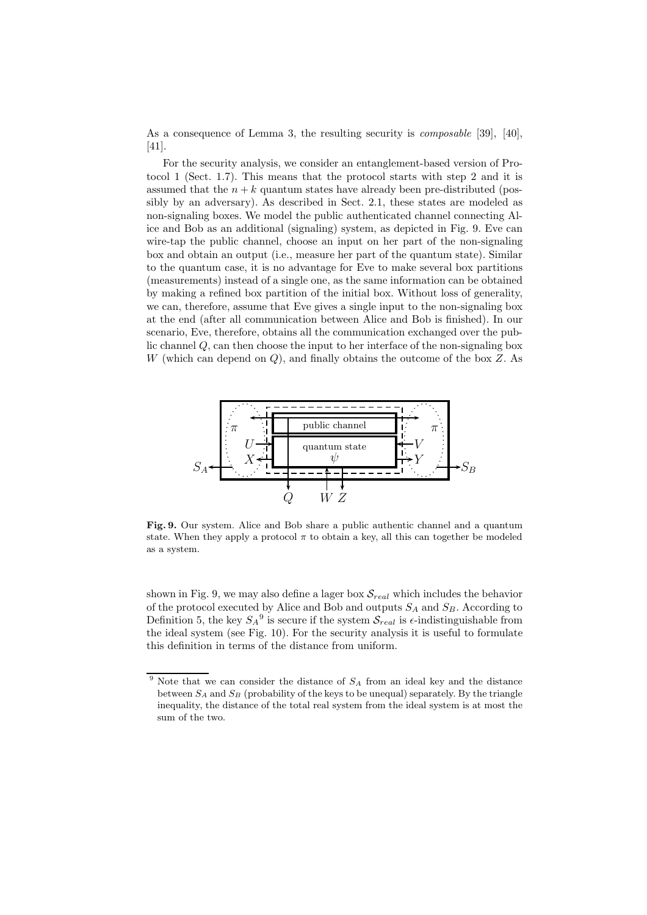As a consequence of Lemma 3, the resulting security is *composable* [39], [40], [41].

For the security analysis, we consider an entanglement-based version of Protocol 1 (Sect. 1.7). This means that the protocol starts with step 2 and it is assumed that the  $n + k$  quantum states have already been pre-distributed (possibly by an adversary). As described in Sect. 2.1, these states are modeled as non-signaling boxes. We model the public authenticated channel connecting Alice and Bob as an additional (signaling) system, as depicted in Fig. 9. Eve can wire-tap the public channel, choose an input on her part of the non-signaling box and obtain an output (i.e., measure her part of the quantum state). Similar to the quantum case, it is no advantage for Eve to make several box partitions (measurements) instead of a single one, as the same information can be obtained by making a refined box partition of the initial box. Without loss of generality, we can, therefore, assume that Eve gives a single input to the non-signaling box at the end (after all communication between Alice and Bob is finished). In our scenario, Eve, therefore, obtains all the communication exchanged over the public channel Q, can then choose the input to her interface of the non-signaling box W (which can depend on  $Q$ ), and finally obtains the outcome of the box  $Z$ . As



Fig. 9. Our system. Alice and Bob share a public authentic channel and a quantum state. When they apply a protocol  $\pi$  to obtain a key, all this can together be modeled as a system.

shown in Fig. 9, we may also define a lager box  $\mathcal{S}_{real}$  which includes the behavior of the protocol executed by Alice and Bob and outputs  $S_A$  and  $S_B$ . According to Definition 5, the key  $S_A^9$  is secure if the system  $S_{real}$  is  $\epsilon$ -indistinguishable from the ideal system (see Fig. 10). For the security analysis it is useful to formulate this definition in terms of the distance from uniform.

 $9$  Note that we can consider the distance of  $S_A$  from an ideal key and the distance between  $S_A$  and  $S_B$  (probability of the keys to be unequal) separately. By the triangle inequality, the distance of the total real system from the ideal system is at most the sum of the two.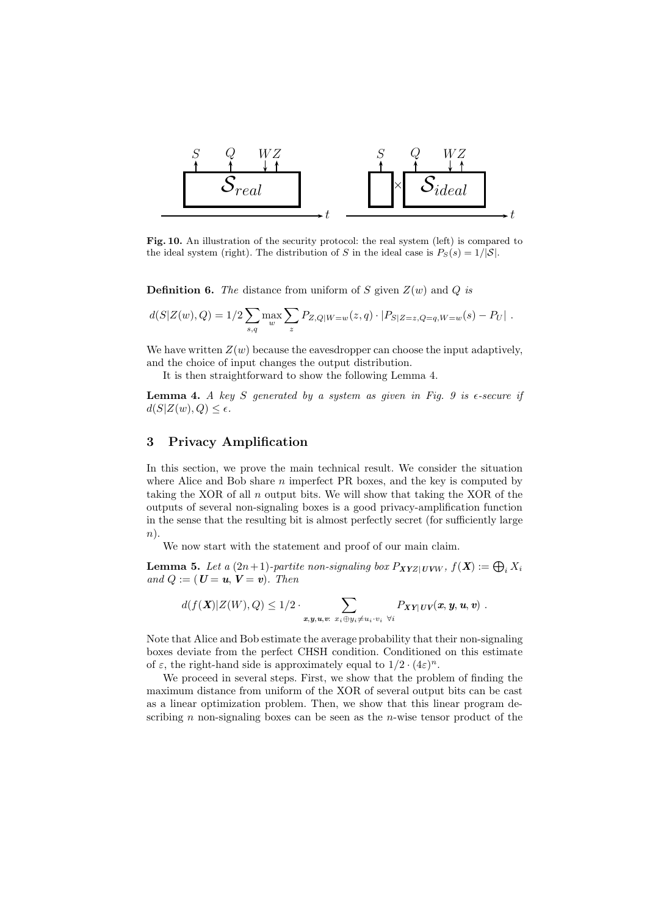

Fig. 10. An illustration of the security protocol: the real system (left) is compared to the ideal system (right). The distribution of S in the ideal case is  $P_S(s) = 1/|S|$ .

**Definition 6.** The distance from uniform of S given  $Z(w)$  and Q is

$$
d(S|Z(w),Q) = 1/2 \sum_{s,q} \max_{w} \sum_{z} P_{Z,Q|W=w}(z,q) \cdot |P_{S|Z=z,Q=q,W=w}(s) - P_U|.
$$

We have written  $Z(w)$  because the eavesdropper can choose the input adaptively, and the choice of input changes the output distribution.

It is then straightforward to show the following Lemma 4.

**Lemma 4.** *A key S* generated by a system as given in Fig. 9 is  $\epsilon$ -secure if  $d(S|Z(w), Q) \leq \epsilon$ .

# 3 Privacy Amplification

In this section, we prove the main technical result. We consider the situation where Alice and Bob share  $n$  imperfect PR boxes, and the key is computed by taking the XOR of all  $n$  output bits. We will show that taking the XOR of the outputs of several non-signaling boxes is a good privacy-amplification function in the sense that the resulting bit is almost perfectly secret (for sufficiently large  $n$ ).

We now start with the statement and proof of our main claim.

**Lemma 5.** Let a  $(2n+1)$ -partite non-signaling box  $P_{\boldsymbol{XYZ}|UVW}$ ,  $f(\boldsymbol{X}) := \bigoplus_i X_i$ *and*  $Q := (\mathbf{U} = \mathbf{u}, \mathbf{V} = \mathbf{v})$ *. Then* 

$$
d(f(\mathbf{X})|Z(W),Q) \leq 1/2 \cdot \sum_{\mathbf{x},\mathbf{y},\mathbf{u},\mathbf{v}: \mathbf{x}_i \oplus y_i \neq u_i \cdot v_i} P_{\mathbf{X}\mathbf{Y}|\mathbf{U}\mathbf{V}}(\mathbf{x},\mathbf{y},\mathbf{u},\mathbf{v}) .
$$

Note that Alice and Bob estimate the average probability that their non-signaling boxes deviate from the perfect CHSH condition. Conditioned on this estimate of  $\varepsilon$ , the right-hand side is approximately equal to  $1/2 \cdot (4\varepsilon)^n$ .

We proceed in several steps. First, we show that the problem of finding the maximum distance from uniform of the XOR of several output bits can be cast as a linear optimization problem. Then, we show that this linear program describing n non-signaling boxes can be seen as the  $n$ -wise tensor product of the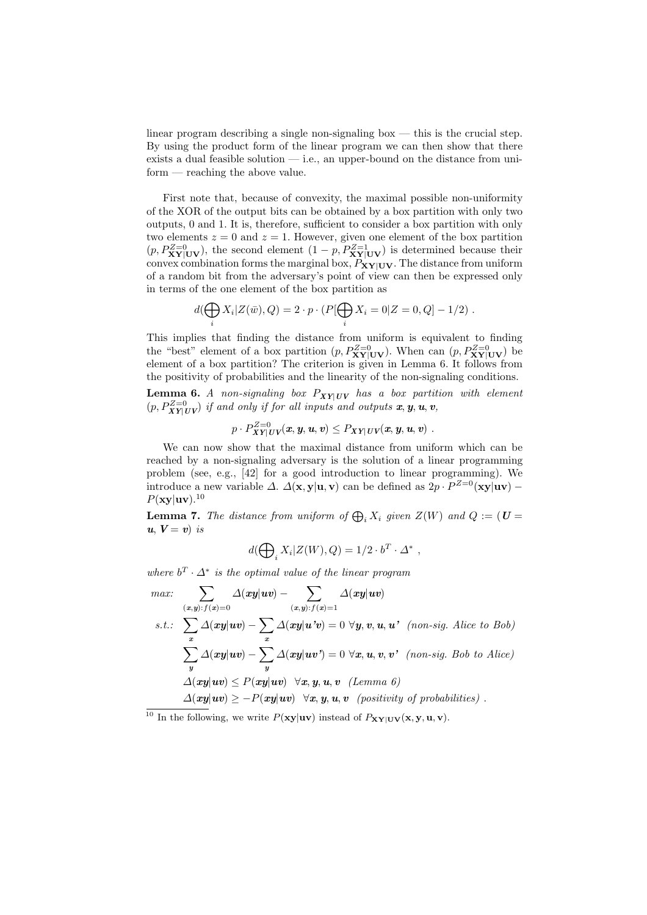linear program describing a single non-signaling box — this is the crucial step. By using the product form of the linear program we can then show that there exists a dual feasible solution  $-$  i.e., an upper-bound on the distance from uniform — reaching the above value.

First note that, because of convexity, the maximal possible non-uniformity of the XOR of the output bits can be obtained by a box partition with only two outputs, 0 and 1. It is, therefore, sufficient to consider a box partition with only two elements  $z = 0$  and  $z = 1$ . However, given one element of the box partition  $(p, P_{XY|UV}^{Z=0})$ , the second element  $(1-p, P_{XY|UV}^{Z=1})$  is determined because their convex combination forms the marginal box,  $P_{XY|UV}$ . The distance from uniform of a random bit from the adversary's point of view can then be expressed only in terms of the one element of the box partition as

$$
d(\bigoplus_i X_i | Z(\bar{w}), Q) = 2 \cdot p \cdot (P[\bigoplus_i X_i = 0 | Z = 0, Q] - 1/2).
$$

This implies that finding the distance from uniform is equivalent to finding the "best" element of a box partition  $(p, P_{XY}^{Z=0}|\mathbf{U}\mathbf{V})$ . When can  $(p, P_{XY}^{Z=0}|\mathbf{U}\mathbf{V})$  be element of a box partition? The criterion is given in Lemma 6. It follows from the positivity of probabilities and the linearity of the non-signaling conditions.

Lemma 6. *A non-signaling box* PXY|UV *has a box partition with element*  $(p, P_{XY|UV}^{Z=0})$  *if and only if for all inputs and outputs*  $x, y, u, v$ ,

$$
p\cdot P_{XY|UV}^{Z=0}(x,y,u,v)\leq P_{XY|UV}(x,y,u,v) .
$$

We can now show that the maximal distance from uniform which can be reached by a non-signaling adversary is the solution of a linear programming problem (see, e.g., [42] for a good introduction to linear programming). We introduce a new variable  $\Delta$ .  $\Delta(\mathbf{x}, \mathbf{y} | \mathbf{u}, \mathbf{v})$  can be defined as  $2p \cdot P^{Z=0}(\mathbf{x} \mathbf{y} | \mathbf{u} \mathbf{v})$  –  $P(\mathbf{xy}|\mathbf{uv})$ <sup>10</sup>

**Lemma 7.** The distance from uniform of  $\bigoplus_i X_i$  given  $Z(W)$  and  $Q := (U =$  $u, V = v$ *is* 

$$
d(\bigoplus_i X_i | Z(W), Q) = 1/2 \cdot b^T \cdot \Delta^*,
$$

where  $b^T \cdot \Delta^*$  *is the optimal value of the linear program* 

*max:*  $\sum$  $(x,y):f(x)=0$  $\varDelta (xy|uv) - \quad \sum$  $(x,y):f(x)=1$  $\varDelta (xy|uv)$ *s.t.:* X  $\sum_x\varDelta(xy|uv)-\sum_x$  $\sum_{x} \Delta(xy|u'v) = 0 \,\forall y, v, u, u' \,\,\, (non-sig. \,\, Alice \,\,to \,\, Bob)$  $\sum$  $\sum_{y} \varDelta (xy|uv) - \sum_{y} \varphi(x,y) \varphi(x,y)$  $\sum_{\mathbf{y}} \Delta(\mathbf{x} \mathbf{y} | \mathbf{u} \mathbf{v}') = 0 \; \forall \mathbf{x}, \mathbf{u}, \mathbf{v}, \mathbf{v}' \;\; (non-sig.~Bob~to~Alice)$  $\Delta(xy|uv) \leq P(xy|uv) \quad \forall x, y, u, v \quad (Lemma 6)$  $\Delta(x\mathbf{v}|\mathbf{u}\mathbf{v}) > -P(x\mathbf{v}|\mathbf{u}\mathbf{v})$   $\forall x, \mathbf{v}, \mathbf{u}, \mathbf{v}$  (positivity of probabilities).

<sup>&</sup>lt;sup>10</sup> In the following, we write  $P(\mathbf{xy}|\mathbf{uv})$  instead of  $P_{\mathbf{XY}|\mathbf{UV}}(\mathbf{x}, \mathbf{y}, \mathbf{u}, \mathbf{v})$ .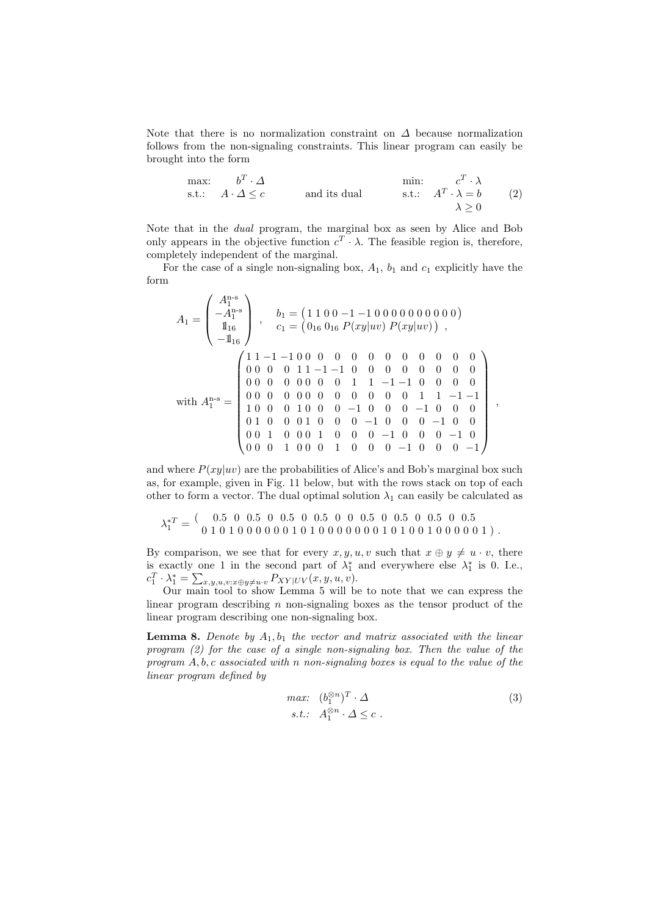Note that there is no normalization constraint on  $\Delta$  because normalization follows from the non-signaling constraints. This linear program can easily be brought into the form

max: 
$$
b^T \cdot \Delta
$$
  
\ns.t.:  $A \cdot \Delta \le c$  and its dual  
\ns.t.:  $A^T \cdot \lambda = b$  (2)  
\n $\lambda \ge 0$ 

Note that in the *dual* program, the marginal box as seen by Alice and Bob only appears in the objective function  $c^T \cdot \lambda$ . The feasible region is, therefore, completely independent of the marginal.

For the case of a single non-signaling box,  $A_1$ ,  $b_1$  and  $c_1$  explicitly have the form

$$
A_1 = \begin{pmatrix} A_1^{\rm n-s} \\ -A_1^{\rm n-s} \\ 1_{16} \\ -1_{16} \end{pmatrix} , \quad b_1 = \begin{pmatrix} 1 & 1 & 0 & 0 & -1 & -1 & 0 & 0 & 0 & 0 & 0 & 0 & 0 & 0 & 0 \\ 0 & 0 & 0 & 0 & 0 & 0 & 0 & 0 & 0 & 0 & 0 & 0 \\ 0 & 0 & 0 & 1 & 1 & -1 & -1 & 0 & 0 & 0 & 0 & 0 & 0 & 0 \\ 0 & 0 & 0 & 0 & 0 & 0 & 0 & 1 & 1 & -1 & -1 & 0 & 0 & 0 & 0 \\ 0 & 0 & 0 & 0 & 0 & 0 & 0 & 0 & 1 & 1 & -1 & -1 & 0 & 0 & 0 & 0 \\ 0 & 0 & 0 & 0 & 0 & 0 & 0 & 0 & 0 & 0 & 0 & 1 & 1 & -1 & -1 \\ 1 & 0 & 0 & 0 & 1 & 0 & 0 & 0 & -1 & 0 & 0 & 0 & 0 & 0 \\ 0 & 1 & 0 & 0 & 0 & 1 & 0 & 0 & 0 & -1 & 0 & 0 & 0 & -1 & 0 \\ 0 & 0 & 1 & 0 & 0 & 0 & 1 & 0 & 0 & 0 & -1 & 0 & 0 & 0 & -1 & 0 \\ 0 & 0 & 0 & 1 & 0 & 0 & 0 & 1 & 0 & 0 & 0 & -1 & 0 & 0 & 0 & -1 \end{pmatrix} ,
$$

and where  $P(xy|uv)$  are the probabilities of Alice's and Bob's marginal box such as, for example, given in Fig. 11 below, but with the rows stack on top of each other to form a vector. The dual optimal solution  $\lambda_1$  can easily be calculated as

$$
\lambda_1^{*T} = \begin{pmatrix} 0.5 & 0 & 0.5 & 0 & 0.5 & 0 & 0.5 & 0 & 0 & 0.5 & 0 & 0.5 & 0 & 0.5 & 0 & 0.5 \\ 0 & 1 & 0 & 1 & 0 & 0 & 0 & 0 & 0 & 1 & 0 & 1 & 0 & 0 & 0 & 0 & 0 & 0 & 1 & 0 & 0 & 0 & 0 & 0 & 1 \end{pmatrix}.
$$

By comparison, we see that for every  $x, y, u, v$  such that  $x \oplus y \neq u \cdot v$ , there is exactly one 1 in the second part of  $\lambda_1^*$  and everywhere else  $\lambda_1^*$  is 0. I.e.,  $c_1^T \cdot \lambda_1^* = \sum_{x,y,u,v:x\oplus y\neq u\cdot v} P_{XY|UV}(x,y,u,v).$ <br>Our main tool to show Lemma 5 will be to note that we can express the

linear program describing  $n$  non-signaling boxes as the tensor product of the linear program describing one non-signaling box.

**Lemma 8.** Denote by  $A_1$ ,  $b_1$  the vector and matrix associated with the linear *program (2) for the case of a single non-signaling box. Then the value of the program* A, b, c *associated with* n *non-signaling boxes is equal to the value of the linear program defined by*

$$
\begin{array}{ll}\n\text{max:} & (b_1^{\otimes n})^T \cdot \Delta \\
\text{s.t.:} & A_1^{\otimes n} \cdot \Delta \le c \n\end{array} \tag{3}
$$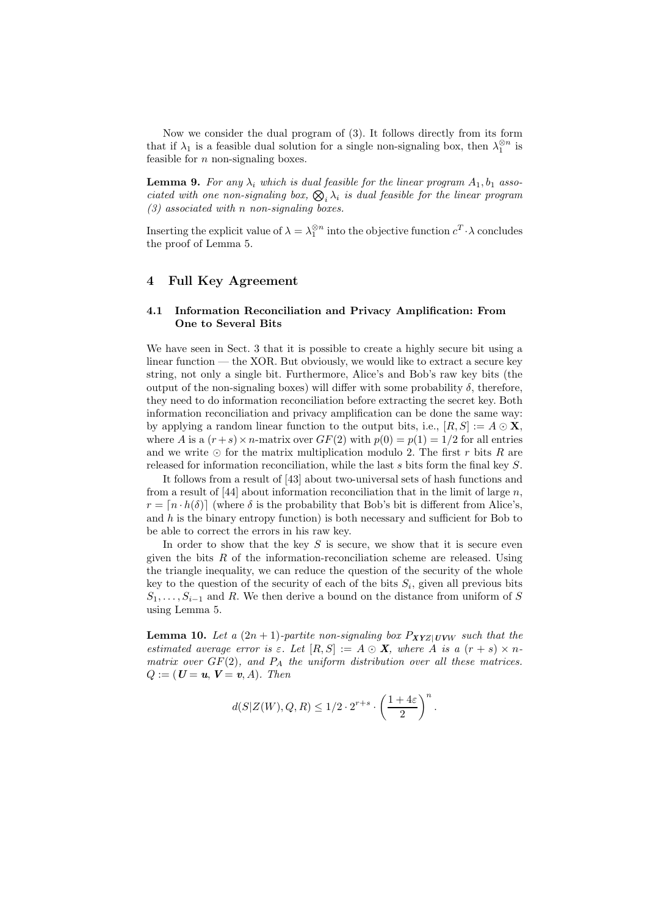Now we consider the dual program of (3). It follows directly from its form that if  $\lambda_1$  is a feasible dual solution for a single non-signaling box, then  $\lambda_1^{\otimes n}$  is feasible for  $n$  non-signaling boxes.

**Lemma 9.** For any  $\lambda_i$  which is dual feasible for the linear program  $A_1$ ,  $b_1$  asso*ciated with one non-signaling box,*  $\bigotimes_i \lambda_i$  *is dual feasible for the linear program (3) associated with* n *non-signaling boxes.*

Inserting the explicit value of  $\lambda = \lambda_1^{\otimes n}$  into the objective function  $c^T \cdot \lambda$  concludes the proof of Lemma 5.

# 4 Full Key Agreement

# 4.1 Information Reconciliation and Privacy Amplification: From One to Several Bits

We have seen in Sect. 3 that it is possible to create a highly secure bit using a linear function — the XOR. But obviously, we would like to extract a secure key string, not only a single bit. Furthermore, Alice's and Bob's raw key bits (the output of the non-signaling boxes) will differ with some probability  $\delta$ , therefore, they need to do information reconciliation before extracting the secret key. Both information reconciliation and privacy amplification can be done the same way: by applying a random linear function to the output bits, i.e.,  $[R, S] := A \odot \mathbf{X}$ , where A is a  $(r+s) \times n$ -matrix over  $GF(2)$  with  $p(0) = p(1) = 1/2$  for all entries and we write  $\odot$  for the matrix multiplication modulo 2. The first r bits R are released for information reconciliation, while the last s bits form the final key S.

It follows from a result of [43] about two-universal sets of hash functions and from a result of [44] about information reconciliation that in the limit of large  $n$ ,  $r = [n \cdot h(\delta)]$  (where  $\delta$  is the probability that Bob's bit is different from Alice's, and  $h$  is the binary entropy function) is both necessary and sufficient for Bob to be able to correct the errors in his raw key.

In order to show that the key  $S$  is secure, we show that it is secure even given the bits  $R$  of the information-reconciliation scheme are released. Using the triangle inequality, we can reduce the question of the security of the whole key to the question of the security of each of the bits  $S_i$ , given all previous bits  $S_1, \ldots, S_{i-1}$  and R. We then derive a bound on the distance from uniform of S using Lemma 5.

**Lemma 10.** Let a  $(2n + 1)$ -partite non-signaling box  $P_{XYZ|UVW}$  such that the *estimated average error is*  $\varepsilon$ *. Let*  $[R, S] := A \odot X$ *, where* A *is*  $a (r + s) \times n$ *matrix over*  $GF(2)$ *, and*  $P_A$  *the uniform distribution over all these matrices.*  $Q := (\mathbf{U} = \mathbf{u}, \mathbf{V} = \mathbf{v}, A)$ *. Then* 

$$
d(S|Z(W),Q,R) \leq 1/2 \cdot 2^{r+s} \cdot \left(\frac{1+4\varepsilon}{2}\right)^n.
$$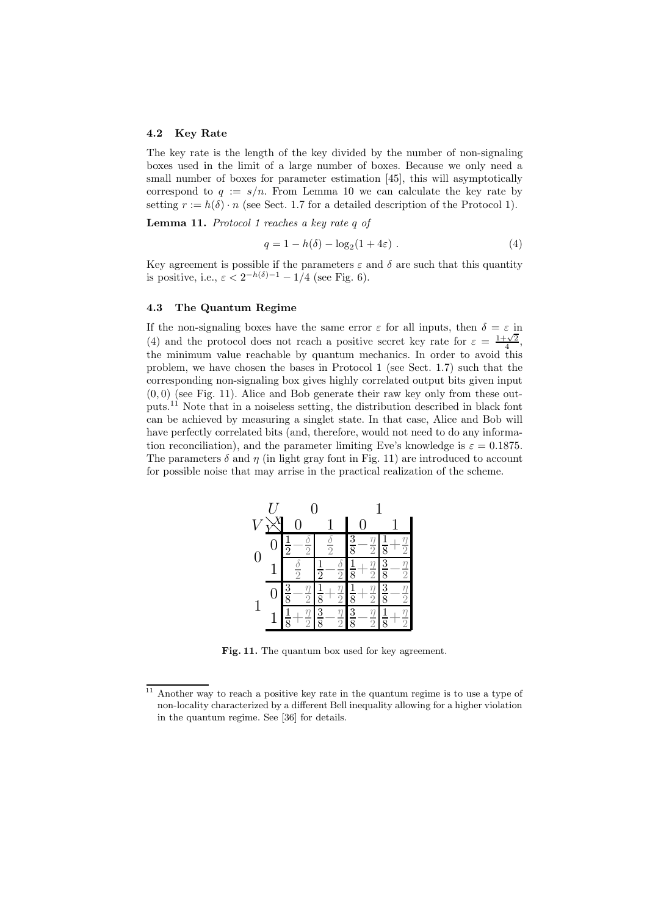#### 4.2 Key Rate

The key rate is the length of the key divided by the number of non-signaling boxes used in the limit of a large number of boxes. Because we only need a small number of boxes for parameter estimation [45], this will asymptotically correspond to  $q := s/n$ . From Lemma 10 we can calculate the key rate by setting  $r := h(\delta) \cdot n$  (see Sect. 1.7 for a detailed description of the Protocol 1).

Lemma 11. *Protocol 1 reaches a key rate* q *of*

$$
q = 1 - h(\delta) - \log_2(1 + 4\varepsilon) \tag{4}
$$

Key agreement is possible if the parameters  $\varepsilon$  and  $\delta$  are such that this quantity is positive, i.e.,  $\varepsilon < 2^{-h(\delta)-1} - 1/4$  (see Fig. 6).

### 4.3 The Quantum Regime

If the non-signaling boxes have the same error  $\varepsilon$  for all inputs, then  $\delta = \varepsilon$  in (4) and the protocol does not reach a positive secret key rate for  $\varepsilon = \frac{1+\sqrt{2}}{4}$ , the minimum value reachable by quantum mechanics. In order to avoid this problem, we have chosen the bases in Protocol 1 (see Sect. 1.7) such that the corresponding non-signaling box gives highly correlated output bits given input  $(0, 0)$  (see Fig. 11). Alice and Bob generate their raw key only from these outputs.<sup>11</sup> Note that in a noiseless setting, the distribution described in black font can be achieved by measuring a singlet state. In that case, Alice and Bob will have perfectly correlated bits (and, therefore, would not need to do any information reconciliation), and the parameter limiting Eve's knowledge is  $\varepsilon = 0.1875$ . The parameters  $\delta$  and  $\eta$  (in light gray font in Fig. 11) are introduced to account for possible noise that may arrise in the practical realization of the scheme.

|  |                                   |                                     | ſ                                                  |                                                    |
|--|-----------------------------------|-------------------------------------|----------------------------------------------------|----------------------------------------------------|
|  | $\frac{1}{2}$<br>$\frac{0}{2}$    | $\frac{\delta}{2}$                  | $\frac{3}{8}$                                      | $\frac{1}{8}$                                      |
|  | $\frac{\delta}{2}$                | $\frac{1}{2}$<br>$\frac{\delta}{2}$ | $\frac{\eta}{2}$ $\frac{\eta}{2}$<br>$\frac{1}{8}$ | $\frac{\eta}{2}$ $\frac{\eta}{2}$<br>$\frac{3}{8}$ |
|  | $\frac{3}{8}$<br>$\frac{\eta}{2}$ | $\frac{1}{8}$<br>$\frac{\eta}{2}$   | $\frac{\eta}{2}$                                   | $\frac{\eta}{2}$ $\frac{\eta}{2}$<br>$rac{3}{8}$   |
|  | $\frac{1}{8}$<br>$\frac{\eta}{2}$ | $\frac{3}{8}$<br>$\frac{\eta}{2}$   | $\frac{1}{8}$ $\frac{3}{8}$<br>$\frac{\eta}{2}$    | $\overline{1}$<br>8                                |

Fig. 11. The quantum box used for key agreement.

<sup>&</sup>lt;sup>11</sup> Another way to reach a positive key rate in the quantum regime is to use a type of non-locality characterized by a different Bell inequality allowing for a higher violation in the quantum regime. See [36] for details.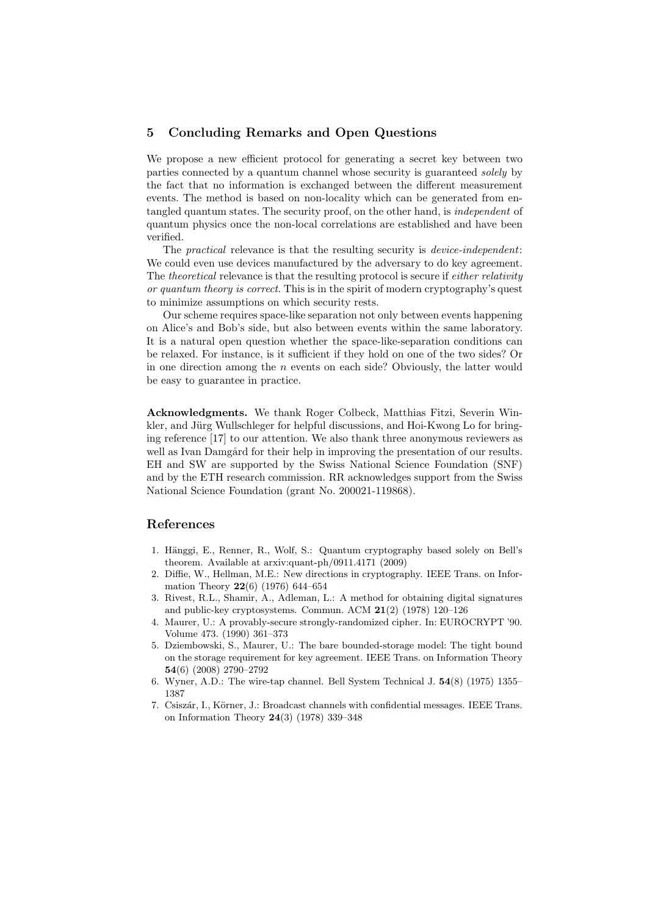# 5 Concluding Remarks and Open Questions

We propose a new efficient protocol for generating a secret key between two parties connected by a quantum channel whose security is guaranteed *solely* by the fact that no information is exchanged between the different measurement events. The method is based on non-locality which can be generated from entangled quantum states. The security proof, on the other hand, is *independent* of quantum physics once the non-local correlations are established and have been verified.

The *practical* relevance is that the resulting security is *device-independent*: We could even use devices manufactured by the adversary to do key agreement. The *theoretical* relevance is that the resulting protocol is secure if *either relativity or quantum theory is correct*. This is in the spirit of modern cryptography's quest to minimize assumptions on which security rests.

Our scheme requires space-like separation not only between events happening on Alice's and Bob's side, but also between events within the same laboratory. It is a natural open question whether the space-like-separation conditions can be relaxed. For instance, is it sufficient if they hold on one of the two sides? Or in one direction among the  $n$  events on each side? Obviously, the latter would be easy to guarantee in practice.

Acknowledgments. We thank Roger Colbeck, Matthias Fitzi, Severin Winkler, and Jürg Wullschleger for helpful discussions, and Hoi-Kwong Lo for bringing reference [17] to our attention. We also thank three anonymous reviewers as well as Ivan Damgård for their help in improving the presentation of our results. EH and SW are supported by the Swiss National Science Foundation (SNF) and by the ETH research commission. RR acknowledges support from the Swiss National Science Foundation (grant No. 200021-119868).

# References

- 1. Hänggi, E., Renner, R., Wolf, S.: Quantum cryptography based solely on Bell's theorem. Available at arxiv:quant-ph/0911.4171 (2009)
- 2. Diffie, W., Hellman, M.E.: New directions in cryptography. IEEE Trans. on Information Theory 22(6) (1976) 644–654
- 3. Rivest, R.L., Shamir, A., Adleman, L.: A method for obtaining digital signatures and public-key cryptosystems. Commun. ACM 21(2) (1978) 120–126
- 4. Maurer, U.: A provably-secure strongly-randomized cipher. In: EUROCRYPT '90. Volume 473. (1990) 361–373
- 5. Dziembowski, S., Maurer, U.: The bare bounded-storage model: The tight bound on the storage requirement for key agreement. IEEE Trans. on Information Theory 54(6) (2008) 2790–2792
- 6. Wyner, A.D.: The wire-tap channel. Bell System Technical J. 54(8) (1975) 1355– 1387
- 7. Csiszár, I., Körner, J.: Broadcast channels with confidential messages. IEEE Trans. on Information Theory 24(3) (1978) 339–348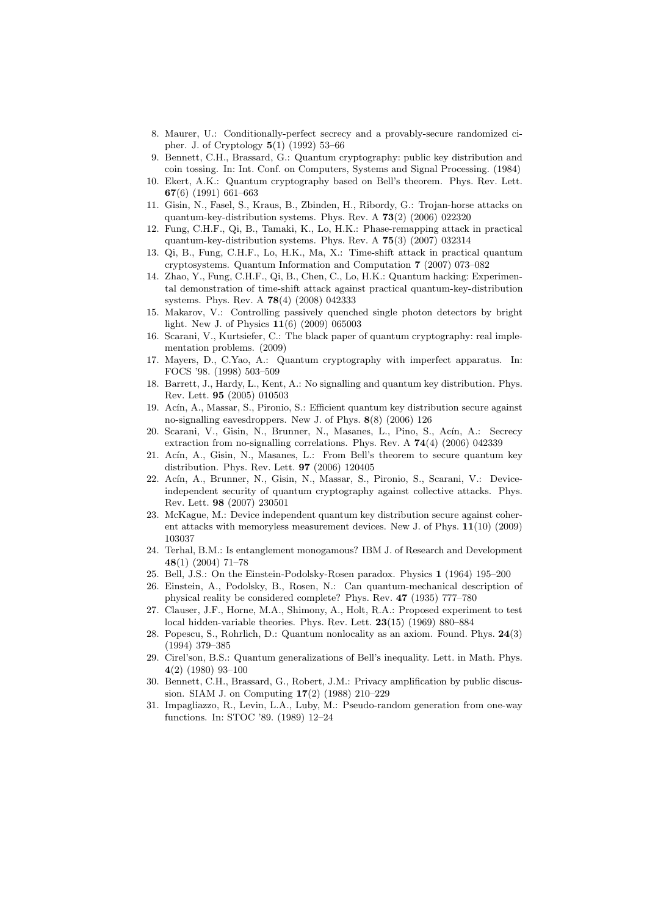- 8. Maurer, U.: Conditionally-perfect secrecy and a provably-secure randomized cipher. J. of Cryptology 5(1) (1992) 53–66
- 9. Bennett, C.H., Brassard, G.: Quantum cryptography: public key distribution and coin tossing. In: Int. Conf. on Computers, Systems and Signal Processing. (1984)
- 10. Ekert, A.K.: Quantum cryptography based on Bell's theorem. Phys. Rev. Lett. 67(6) (1991) 661–663
- 11. Gisin, N., Fasel, S., Kraus, B., Zbinden, H., Ribordy, G.: Trojan-horse attacks on quantum-key-distribution systems. Phys. Rev. A 73(2) (2006) 022320
- 12. Fung, C.H.F., Qi, B., Tamaki, K., Lo, H.K.: Phase-remapping attack in practical quantum-key-distribution systems. Phys. Rev. A 75(3) (2007) 032314
- 13. Qi, B., Fung, C.H.F., Lo, H.K., Ma, X.: Time-shift attack in practical quantum cryptosystems. Quantum Information and Computation 7 (2007) 073–082
- 14. Zhao, Y., Fung, C.H.F., Qi, B., Chen, C., Lo, H.K.: Quantum hacking: Experimental demonstration of time-shift attack against practical quantum-key-distribution systems. Phys. Rev. A 78(4) (2008) 042333
- 15. Makarov, V.: Controlling passively quenched single photon detectors by bright light. New J. of Physics 11(6) (2009) 065003
- 16. Scarani, V., Kurtsiefer, C.: The black paper of quantum cryptography: real implementation problems. (2009)
- 17. Mayers, D., C.Yao, A.: Quantum cryptography with imperfect apparatus. In: FOCS '98. (1998) 503–509
- 18. Barrett, J., Hardy, L., Kent, A.: No signalling and quantum key distribution. Phys. Rev. Lett. 95 (2005) 010503
- 19. Acín, A., Massar, S., Pironio, S.: Efficient quantum key distribution secure against no-signalling eavesdroppers. New J. of Phys. 8(8) (2006) 126
- 20. Scarani, V., Gisin, N., Brunner, N., Masanes, L., Pino, S., Acín, A.: Secrecy extraction from no-signalling correlations. Phys. Rev. A 74(4) (2006) 042339
- 21. Acín, A., Gisin, N., Masanes, L.: From Bell's theorem to secure quantum key distribution. Phys. Rev. Lett. 97 (2006) 120405
- 22. Acín, A., Brunner, N., Gisin, N., Massar, S., Pironio, S., Scarani, V.: Deviceindependent security of quantum cryptography against collective attacks. Phys. Rev. Lett. 98 (2007) 230501
- 23. McKague, M.: Device independent quantum key distribution secure against coherent attacks with memoryless measurement devices. New J. of Phys. 11(10) (2009) 103037
- 24. Terhal, B.M.: Is entanglement monogamous? IBM J. of Research and Development 48(1) (2004) 71–78
- 25. Bell, J.S.: On the Einstein-Podolsky-Rosen paradox. Physics 1 (1964) 195–200
- 26. Einstein, A., Podolsky, B., Rosen, N.: Can quantum-mechanical description of physical reality be considered complete? Phys. Rev. 47 (1935) 777–780
- 27. Clauser, J.F., Horne, M.A., Shimony, A., Holt, R.A.: Proposed experiment to test local hidden-variable theories. Phys. Rev. Lett. 23(15) (1969) 880–884
- 28. Popescu, S., Rohrlich, D.: Quantum nonlocality as an axiom. Found. Phys. 24(3) (1994) 379–385
- 29. Cirel'son, B.S.: Quantum generalizations of Bell's inequality. Lett. in Math. Phys. 4(2) (1980) 93–100
- 30. Bennett, C.H., Brassard, G., Robert, J.M.: Privacy amplification by public discussion. SIAM J. on Computing 17(2) (1988) 210–229
- 31. Impagliazzo, R., Levin, L.A., Luby, M.: Pseudo-random generation from one-way functions. In: STOC '89. (1989) 12–24